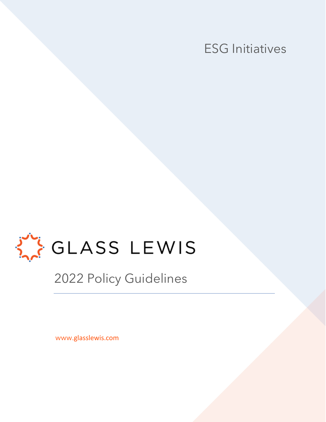



2022 Policy Guidelines

www.glasslewis.com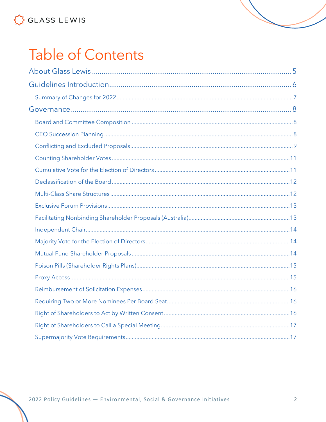# **Table of Contents**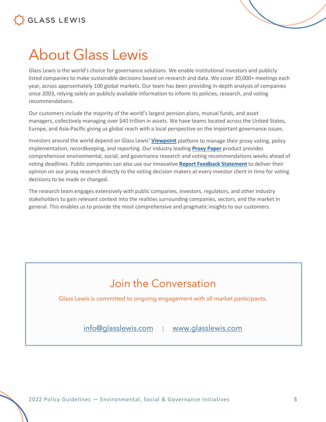

## <span id="page-4-0"></span>About Glass Lewis

Glass Lewis is the world's choice for governance solutions. We enable institutional investors and publicly listed companies to make sustainable decisions based on research and data. We cover 30,000+ meetings each year, across approximately 100 global markets. Our team has been providing in-depth analysis of companies since 2003, relying solely on publicly available information to inform its policies, research, and voting recommendations.

Our customers include the majority of the world's largest pension plans, mutual funds, and asset managers, collectively managing over \$40 trillion in assets. We have teams located across the United States, Europe, and Asia-Pacific giving us global reach with a local perspective on the important governance issues.

Investors around the world depend on Glass Lewis' **[Viewpoint](https://www.glasslewis.com/proxy-voting-2/)** platform to manage their proxy voting, policy implementation, recordkeeping, and reporting. Our industry leading **[Proxy Paper](https://www.glasslewis.com/proxy-research-3/)** product provides comprehensive environmental, social, and governance research and voting recommendations weeks ahead of voting deadlines. Public companies can also use our innovative **[Report Feedback Statement](https://www.glasslewis.com/report-feedback-statement/)** to deliver their opinion on our proxy research directly to the voting decision makers at every investor client in time for voting decisions to be made or changed.

The research team engages extensively with public companies, investors, regulators, and other industry stakeholders to gain relevant context into the realities surrounding companies, sectors, and the market in general. This enables us to provide the most comprehensive and pragmatic insights to our customers.

### Join the Conversation

Glass Lewis is committed to ongoing engagement with all market participants.

[info@glasslewis.com](mailto:info@glasslewis.com) | [www.glasslewis.com](http://www.glasslewis.com/)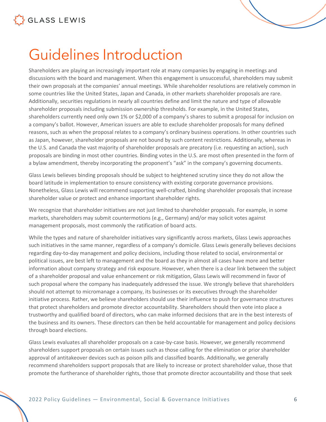

## <span id="page-5-0"></span>Guidelines Introduction

Shareholders are playing an increasingly important role at many companies by engaging in meetings and discussions with the board and management. When this engagement is unsuccessful, shareholders may submit their own proposals at the companies' annual meetings. While shareholder resolutions are relatively common in some countries like the United States, Japan and Canada, in other markets shareholder proposals are rare. Additionally, securities regulations in nearly all countries define and limit the nature and type of allowable shareholder proposals including submission ownership thresholds. For example, in the United States, shareholders currently need only own 1% or \$2,000 of a company's shares to submit a proposal for inclusion on a company's ballot. However, American issuers are able to exclude shareholder proposals for many defined reasons, such as when the proposal relates to a company's ordinary business operations. In other countries such as Japan, however, shareholder proposals are not bound by such content restrictions. Additionally, whereas in the U.S. and Canada the vast majority of shareholder proposals are precatory (i.e. requesting an action), such proposals are binding in most other countries. Binding votes in the U.S. are most often presented in the form of a bylaw amendment, thereby incorporating the proponent's "ask" in the company's governing documents.

Glass Lewis believes binding proposals should be subject to heightened scrutiny since they do not allow the board latitude in implementation to ensure consistency with existing corporate governance provisions. Nonetheless, Glass Lewis will recommend supporting well-crafted, binding shareholder proposals that increase shareholder value or protect and enhance important shareholder rights.

We recognize that shareholder initiatives are not just limited to shareholder proposals. For example, in some markets, shareholders may submit countermotions (e.g., Germany) and/or may solicit votes against management proposals, most commonly the ratification of board acts.

While the types and nature of shareholder initiatives vary significantly across markets, Glass Lewis approaches such initiatives in the same manner, regardless of a company's domicile. Glass Lewis generally believes decisions regarding day-to-day management and policy decisions, including those related to social, environmental or political issues, are best left to management and the board as they in almost all cases have more and better information about company strategy and risk exposure. However, when there is a clear link between the subject of a shareholder proposal and value enhancement or risk mitigation, Glass Lewis will recommend in favor of such proposal where the company has inadequately addressed the issue. We strongly believe that shareholders should not attempt to micromanage a company, its businesses or its executives through the shareholder initiative process. Rather, we believe shareholders should use their influence to push for governance structures that protect shareholders and promote director accountability. Shareholders should then vote into place a trustworthy and qualified board of directors, who can make informed decisions that are in the best interests of the business and its owners. These directors can then be held accountable for management and policy decisions through board elections.

Glass Lewis evaluates all shareholder proposals on a case-by-case basis. However, we generally recommend shareholders support proposals on certain issues such as those calling for the elimination or prior shareholder approval of antitakeover devices such as poison pills and classified boards. Additionally, we generally recommend shareholders support proposals that are likely to increase or protect shareholder value, those that promote the furtherance of shareholder rights, those that promote director accountability and those that seek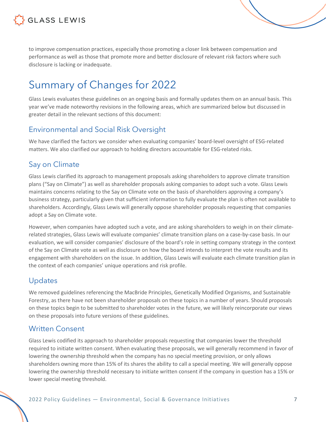

to improve compensation practices, especially those promoting a closer link between compensation and performance as well as those that promote more and better disclosure of relevant risk factors where such disclosure is lacking or inadequate.

### <span id="page-6-0"></span>Summary of Changes for 2022

Glass Lewis evaluates these guidelines on an ongoing basis and formally updates them on an annual basis. This year we've made noteworthy revisions in the following areas, which are summarized below but discussed in greater detail in the relevant sections of this document:

#### Environmental and Social Risk Oversight

We have clarified the factors we consider when evaluating companies' board-level oversight of ESG-related matters. We also clarified our approach to holding directors accountable for ESG-related risks.

#### Say on Climate

Glass Lewis clarified its approach to management proposals asking shareholders to approve climate transition plans ("Say on Climate") as well as shareholder proposals asking companies to adopt such a vote. Glass Lewis maintains concerns relating to the Say on Climate vote on the basis of shareholders approving a company's business strategy, particularly given that sufficient information to fully evaluate the plan is often not available to shareholders. Accordingly, Glass Lewis will generally oppose shareholder proposals requesting that companies adopt a Say on Climate vote.

However, when companies have adopted such a vote, and are asking shareholders to weigh in on their climaterelated strategies, Glass Lewis will evaluate companies' climate transition plans on a case-by-case basis. In our evaluation, we will consider companies' disclosure of the board's role in setting company strategy in the context of the Say on Climate vote as well as disclosure on how the board intends to interpret the vote results and its engagement with shareholders on the issue. In addition, Glass Lewis will evaluate each climate transition plan in the context of each companies' unique operations and risk profile.

#### Updates

We removed guidelines referencing the MacBride Principles, Genetically Modified Organisms, and Sustainable Forestry, as there have not been shareholder proposals on these topics in a number of years. Should proposals on these topics begin to be submitted to shareholder votes in the future, we will likely reincorporate our views on these proposals into future versions of these guidelines.

#### Written Consent

Glass Lewis codified its approach to shareholder proposals requesting that companies lower the threshold required to initiate written consent. When evaluating these proposals, we will generally recommend in favor of lowering the ownership threshold when the company has no special meeting provision, or only allows shareholders owning more than 15% of its shares the ability to call a special meeting. We will generally oppose lowering the ownership threshold necessary to initiate written consent if the company in question has a 15% or lower special meeting threshold.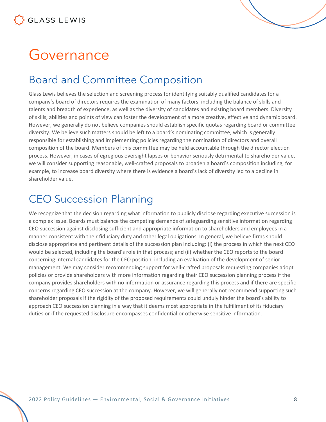## <span id="page-7-0"></span>Governance

### <span id="page-7-1"></span>Board and Committee Composition

Glass Lewis believes the selection and screening process for identifying suitably qualified candidates for a company's board of directors requires the examination of many factors, including the balance of skills and talents and breadth of experience, as well as the diversity of candidates and existing board members. Diversity of skills, abilities and points of view can foster the development of a more creative, effective and dynamic board. However, we generally do not believe companies should establish specific quotas regarding board or committee diversity. We believe such matters should be left to a board's nominating committee, which is generally responsible for establishing and implementing policies regarding the nomination of directors and overall composition of the board. Members of this committee may be held accountable through the director election process. However, in cases of egregious oversight lapses or behavior seriously detrimental to shareholder value, we will consider supporting reasonable, well-crafted proposals to broaden a board's composition including, for example, to increase board diversity where there is evidence a board's lack of diversity led to a decline in shareholder value.

### <span id="page-7-2"></span>CEO Succession Planning

We recognize that the decision regarding what information to publicly disclose regarding executive succession is a complex issue. Boards must balance the competing demands of safeguarding sensitive information regarding CEO succession against disclosing sufficient and appropriate information to shareholders and employees in a manner consistent with their fiduciary duty and other legal obligations. In general, we believe firms should disclose appropriate and pertinent details of the succession plan including: (i) the process in which the next CEO would be selected, including the board's role in that process; and (ii) whether the CEO reports to the board concerning internal candidates for the CEO position, including an evaluation of the development of senior management. We may consider recommending support for well-crafted proposals requesting companies adopt policies or provide shareholders with more information regarding their CEO succession planning process if the company provides shareholders with no information or assurance regarding this process and if there are specific concerns regarding CEO succession at the company. However, we will generally not recommend supporting such shareholder proposals if the rigidity of the proposed requirements could unduly hinder the board's ability to approach CEO succession planning in a way that it deems most appropriate in the fulfillment of its fiduciary duties or if the requested disclosure encompasses confidential or otherwise sensitive information.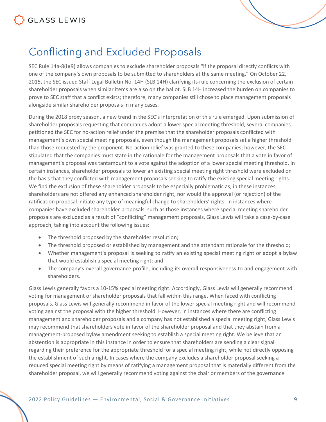

### <span id="page-8-0"></span>Conflicting and Excluded Proposals

SEC Rule 14a-8(i)(9) allows companies to exclude shareholder proposals "if the proposal directly conflicts with one of the company's own proposals to be submitted to shareholders at the same meeting." On October 22, 2015, the SEC issued Staff Legal Bulletin No. 14H (SLB 14H) clarifying its rule concerning the exclusion of certain shareholder proposals when similar items are also on the ballot. SLB 14H increased the burden on companies to prove to SEC staff that a conflict exists; therefore, many companies still chose to place management proposals alongside similar shareholder proposals in many cases.

During the 2018 proxy season, a new trend in the SEC's interpretation of this rule emerged. Upon submission of shareholder proposals requesting that companies adopt a lower special meeting threshold, several companies petitioned the SEC for no-action relief under the premise that the shareholder proposals conflicted with management's own special meeting proposals, even though the management proposals set a higher threshold than those requested by the proponent. No-action relief was granted to these companies; however, the SEC stipulated that the companies must state in the rationale for the management proposals that a vote in favor of management's proposal was tantamount to a vote against the adoption of a lower special meeting threshold. In certain instances, shareholder proposals to lower an existing special meeting right threshold were excluded on the basis that they conflicted with management proposals seeking to ratify the existing special meeting rights. We find the exclusion of these shareholder proposals to be especially problematic as, in these instances, shareholders are not offered any enhanced shareholder right, nor would the approval (or rejection) of the ratification proposal initiate any type of meaningful change to shareholders' rights. In instances where companies have excluded shareholder proposals, such as those instances where special meeting shareholder proposals are excluded as a result of "conflicting" management proposals, Glass Lewis will take a case-by-case approach, taking into account the following issues:

- The threshold proposed by the shareholder resolution;
- The threshold proposed or established by management and the attendant rationale for the threshold;
- Whether management's proposal is seeking to ratify an existing special meeting right or adopt a bylaw that would establish a special meeting right; and
- The company's overall governance profile, including its overall responsiveness to and engagement with shareholders.

Glass Lewis generally favors a 10-15% special meeting right. Accordingly, Glass Lewis will generally recommend voting for management or shareholder proposals that fall within this range. When faced with conflicting proposals, Glass Lewis will generally recommend in favor of the lower special meeting right and will recommend voting against the proposal with the higher threshold. However, in instances where there are conflicting management and shareholder proposals and a company has not established a special meeting right, Glass Lewis may recommend that shareholders vote in favor of the shareholder proposal and that they abstain from a management-proposed bylaw amendment seeking to establish a special meeting right. We believe that an abstention is appropriate in this instance in order to ensure that shareholders are sending a clear signal regarding their preference for the appropriate threshold for a special meeting right, while not directly opposing the establishment of such a right. In cases where the company excludes a shareholder proposal seeking a reduced special meeting right by means of ratifying a management proposal that is materially different from the shareholder proposal, we will generally recommend voting against the chair or members of the governance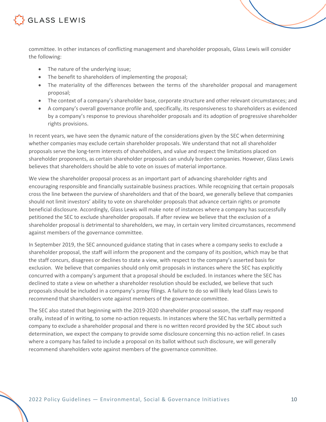

committee. In other instances of conflicting management and shareholder proposals, Glass Lewis will consider the following:

- The nature of the underlying issue;
- The benefit to shareholders of implementing the proposal;
- The materiality of the differences between the terms of the shareholder proposal and management proposal;
- The context of a company's shareholder base, corporate structure and other relevant circumstances; and
- A company's overall governance profile and, specifically, its responsiveness to shareholders as evidenced by a company's response to previous shareholder proposals and its adoption of progressive shareholder rights provisions.

In recent years, we have seen the dynamic nature of the considerations given by the SEC when determining whether companies may exclude certain shareholder proposals. We understand that not all shareholder proposals serve the long-term interests of shareholders, and value and respect the limitations placed on shareholder proponents, as certain shareholder proposals can unduly burden companies. However, Glass Lewis believes that shareholders should be able to vote on issues of material importance.

We view the shareholder proposal process as an important part of advancing shareholder rights and encouraging responsible and financially sustainable business practices. While recognizing that certain proposals cross the line between the purview of shareholders and that of the board, we generally believe that companies should not limit investors' ability to vote on shareholder proposals that advance certain rights or promote beneficial disclosure. Accordingly, Glass Lewis will make note of instances where a company has successfully petitioned the SEC to exclude shareholder proposals. If after review we believe that the exclusion of a shareholder proposal is detrimental to shareholders, we may, in certain very limited circumstances, recommend against members of the governance committee.

In September 2019, the SEC announced guidance stating that in cases where a company seeks to exclude a shareholder proposal, the staff will inform the proponent and the company of its position, which may be that the staff concurs, disagrees or declines to state a view, with respect to the company's asserted basis for exclusion. We believe that companies should only omit proposals in instances where the SEC has explicitly concurred with a company's argument that a proposal should be excluded. In instances where the SEC has declined to state a view on whether a shareholder resolution should be excluded, we believe that such proposals should be included in a company's proxy filings. A failure to do so will likely lead Glass Lewis to recommend that shareholders vote against members of the governance committee.

The SEC also stated that beginning with the 2019-2020 shareholder proposal season, the staff may respond orally, instead of in writing, to some no-action requests. In instances where the SEC has verbally permitted a company to exclude a shareholder proposal and there is no written record provided by the SEC about such determination, we expect the company to provide some disclosure concerning this no-action relief. In cases where a company has failed to include a proposal on its ballot without such disclosure, we will generally recommend shareholders vote against members of the governance committee.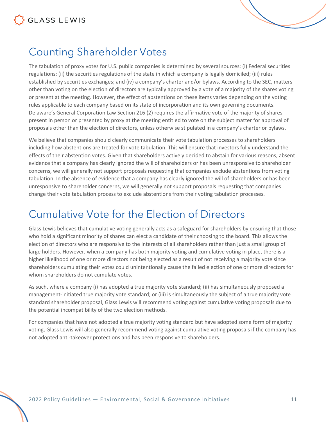

#### <span id="page-10-0"></span>Counting Shareholder Votes

The tabulation of proxy votes for U.S. public companies is determined by several sources: (i) Federal securities regulations; (ii) the securities regulations of the state in which a company is legally domiciled; (iii) rules established by securities exchanges; and (iv) a company's charter and/or bylaws. According to the SEC, matters other than voting on the election of directors are typically approved by a vote of a majority of the shares voting or present at the meeting. However, the effect of abstentions on these items varies depending on the voting rules applicable to each company based on its state of incorporation and its own governing documents. Delaware's General Corporation Law Section 216 (2) requires the affirmative vote of the majority of shares present in person or presented by proxy at the meeting entitled to vote on the subject matter for approval of proposals other than the election of directors, unless otherwise stipulated in a company's charter or bylaws.

We believe that companies should clearly communicate their vote tabulation processes to shareholders including how abstentions are treated for vote tabulation. This will ensure that investors fully understand the effects of their abstention votes. Given that shareholders actively decided to abstain for various reasons, absent evidence that a company has clearly ignored the will of shareholders or has been unresponsive to shareholder concerns, we will generally not support proposals requesting that companies exclude abstentions from voting tabulation. In the absence of evidence that a company has clearly ignored the will of shareholders or has been unresponsive to shareholder concerns, we will generally not support proposals requesting that companies change their vote tabulation process to exclude abstentions from their voting tabulation processes.

#### <span id="page-10-1"></span>Cumulative Vote for the Election of Directors

Glass Lewis believes that cumulative voting generally acts as a safeguard for shareholders by ensuring that those who hold a significant minority of shares can elect a candidate of their choosing to the board. This allows the election of directors who are responsive to the interests of all shareholders rather than just a small group of large holders. However, when a company has both majority voting and cumulative voting in place, there is a higher likelihood of one or more directors not being elected as a result of not receiving a majority vote since shareholders cumulating their votes could unintentionally cause the failed election of one or more directors for whom shareholders do not cumulate votes.

As such, where a company (i) has adopted a true majority vote standard; (ii) has simultaneously proposed a management-initiated true majority vote standard; or (iii) is simultaneously the subject of a true majority vote standard shareholder proposal, Glass Lewis will recommend voting against cumulative voting proposals due to the potential incompatibility of the two election methods.

For companies that have not adopted a true majority voting standard but have adopted some form of majority voting, Glass Lewis will also generally recommend voting against cumulative voting proposals if the company has not adopted anti-takeover protections and has been responsive to shareholders.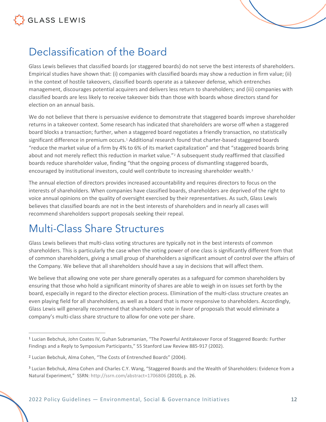### <span id="page-11-0"></span>Declassification of the Board

Glass Lewis believes that classified boards (or staggered boards) do not serve the best interests of shareholders. Empirical studies have shown that: (i) companies with classified boards may show a reduction in firm value; (ii) in the context of hostile takeovers, classified boards operate as a takeover defense, which entrenches management, discourages potential acquirers and delivers less return to shareholders; and (iii) companies with classified boards are less likely to receive takeover bids than those with boards whose directors stand for election on an annual basis.

We do not believe that there is persuasive evidence to demonstrate that staggered boards improve shareholder returns in a takeover context. Some research has indicated that shareholders are worse off when a staggered board blocks a transaction; further, when a staggered board negotiates a friendly transaction, no statistically significant difference in premium occurs.<sup>[1](#page-11-2)</sup> Additional research found that charter-based staggered boards "reduce the market value of a firm by 4% to 6% of its market capitalization" and that "staggered boards bring about and not merely reflect this reduction in market value."<sup>[2](#page-11-3)</sup> A subsequent study reaffirmed that classified boards reduce shareholder value, finding "that the ongoing process of dismantling staggered boards, encouraged by institutional investors, could well contribute to increasing shareholder wealth.<sup>[3](#page-11-4)</sup>

The annual election of directors provides increased accountability and requires directors to focus on the interests of shareholders. When companies have classified boards, shareholders are deprived of the right to voice annual opinions on the quality of oversight exercised by their representatives. As such, Glass Lewis believes that classified boards are not in the best interests of shareholders and in nearly all cases will recommend shareholders support proposals seeking their repeal.

### <span id="page-11-1"></span>Multi-Class Share Structures

Glass Lewis believes that multi-class voting structures are typically not in the best interests of common shareholders. This is particularly the case when the voting power of one class is significantly different from that of common shareholders, giving a small group of shareholders a significant amount of control over the affairs of the Company. We believe that all shareholders should have a say in decisions that will affect them.

We believe that allowing one vote per share generally operates as a safeguard for common shareholders by ensuring that those who hold a significant minority of shares are able to weigh in on issues set forth by the board, especially in regard to the director election process. Elimination of the multi-class structure creates an even playing field for all shareholders, as well as a board that is more responsive to shareholders. Accordingly, Glass Lewis will generally recommend that shareholders vote in favor of proposals that would eliminate a company's multi-class share structure to allow for one vote per share.

<span id="page-11-2"></span><sup>1</sup> Lucian Bebchuk, John Coates IV, Guhan Subramanian, "The Powerful Antitakeover Force of Staggered Boards: Further Findings and a Reply to Symposium Participants," 55 Stanford Law Review 885-917 (2002).

<span id="page-11-3"></span><sup>2</sup> Lucian Bebchuk, Alma Cohen, "The Costs of Entrenched Boards" (2004).

<span id="page-11-4"></span><sup>&</sup>lt;sup>3</sup> Lucian Bebchuk, Alma Cohen and Charles C.Y. Wang, "Staggered Boards and the Wealth of Shareholders: Evidence from a Natural Experiment," SSRN[: http://ssrn.com/abstract=1706806](http://ssrn.com/abstract=1706806) [\(](http://ssrn.com/abstract=1706806)2010), p. 26.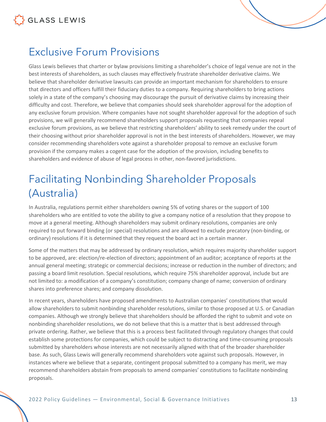### <span id="page-12-0"></span>Exclusive Forum Provisions

Glass Lewis believes that charter or bylaw provisions limiting a shareholder's choice of legal venue are not in the best interests of shareholders, as such clauses may effectively frustrate shareholder derivative claims. We believe that shareholder derivative lawsuits can provide an important mechanism for shareholders to ensure that directors and officers fulfill their fiduciary duties to a company. Requiring shareholders to bring actions solely in a state of the company's choosing may discourage the pursuit of derivative claims by increasing their difficulty and cost. Therefore, we believe that companies should seek shareholder approval for the adoption of any exclusive forum provision. Where companies have not sought shareholder approval for the adoption of such provisions, we will generally recommend shareholders support proposals requesting that companies repeal exclusive forum provisions, as we believe that restricting shareholders' ability to seek remedy under the court of their choosing without prior shareholder approval is not in the best interests of shareholders. However, we may consider recommending shareholders vote against a shareholder proposal to remove an exclusive forum provision if the company makes a cogent case for the adoption of the provision, including benefits to shareholders and evidence of abuse of legal process in other, non-favored jurisdictions.

### <span id="page-12-1"></span>Facilitating Nonbinding Shareholder Proposals (Australia)

In Australia, regulations permit either shareholders owning 5% of voting shares or the support of 100 shareholders who are entitled to vote the ability to give a company notice of a resolution that they propose to move at a general meeting. Although shareholders may submit ordinary resolutions, companies are only required to put forward binding (or special) resolutions and are allowed to exclude precatory (non-binding, or ordinary) resolutions if it is determined that they request the board act in a certain manner.

Some of the matters that may be addressed by ordinary resolution, which requires majority shareholder support to be approved, are: election/re-election of directors; appointment of an auditor; acceptance of reports at the annual general meeting; strategic or commercial decisions; increase or reduction in the number of directors; and passing a board limit resolution. Special resolutions, which require 75% shareholder approval, include but are not limited to: a modification of a company's constitution; company change of name; conversion of ordinary shares into preference shares; and company dissolution.

In recent years, shareholders have proposed amendments to Australian companies' constitutions that would allow shareholders to submit nonbinding shareholder resolutions, similar to those proposed at U.S. or Canadian companies. Although we strongly believe that shareholders should be afforded the right to submit and vote on nonbinding shareholder resolutions, we do not believe that this is a matter that is best addressed through private ordering. Rather, we believe that this is a process best facilitated through regulatory changes that could establish some protections for companies, which could be subject to distracting and time-consuming proposals submitted by shareholders whose interests are not necessarily aligned with that of the broader shareholder base. As such, Glass Lewis will generally recommend shareholders vote against such proposals. However, in instances where we believe that a separate, contingent proposal submitted to a company has merit, we may recommend shareholders abstain from proposals to amend companies' constitutions to facilitate nonbinding proposals.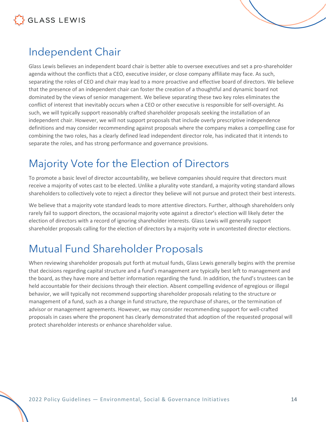#### <span id="page-13-0"></span>Independent Chair

Glass Lewis believes an independent board chair is better able to oversee executives and set a pro-shareholder agenda without the conflicts that a CEO, executive insider, or close company affiliate may face. As such, separating the roles of CEO and chair may lead to a more proactive and effective board of directors. We believe that the presence of an independent chair can foster the creation of a thoughtful and dynamic board not dominated by the views of senior management. We believe separating these two key roles eliminates the conflict of interest that inevitably occurs when a CEO or other executive is responsible for self-oversight. As such, we will typically support reasonably crafted shareholder proposals seeking the installation of an independent chair. However, we will not support proposals that include overly prescriptive independence definitions and may consider recommending against proposals where the company makes a compelling case for combining the two roles, has a clearly defined lead independent director role, has indicated that it intends to separate the roles, and has strong performance and governance provisions.

### <span id="page-13-1"></span>Majority Vote for the Election of Directors

To promote a basic level of director accountability, we believe companies should require that directors must receive a majority of votes cast to be elected. Unlike a plurality vote standard, a majority voting standard allows shareholders to collectively vote to reject a director they believe will not pursue and protect their best interests.

We believe that a majority vote standard leads to more attentive directors. Further, although shareholders only rarely fail to support directors, the occasional majority vote against a director's election will likely deter the election of directors with a record of ignoring shareholder interests. Glass Lewis will generally support shareholder proposals calling for the election of directors by a majority vote in uncontested director elections.

### <span id="page-13-2"></span>Mutual Fund Shareholder Proposals

When reviewing shareholder proposals put forth at mutual funds, Glass Lewis generally begins with the premise that decisions regarding capital structure and a fund's management are typically best left to management and the board, as they have more and better information regarding the fund. In addition, the fund's trustees can be held accountable for their decisions through their election. Absent compelling evidence of egregious or illegal behavior, we will typically not recommend supporting shareholder proposals relating to the structure or management of a fund, such as a change in fund structure, the repurchase of shares, or the termination of advisor or management agreements. However, we may consider recommending support for well-crafted proposals in cases where the proponent has clearly demonstrated that adoption of the requested proposal will protect shareholder interests or enhance shareholder value.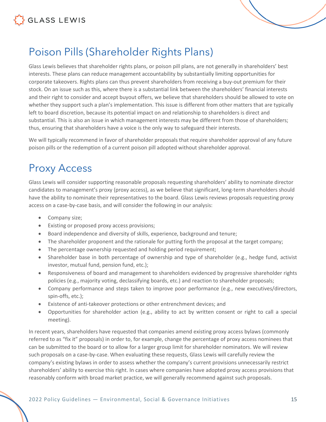

#### <span id="page-14-0"></span>Poison Pills (Shareholder Rights Plans)

Glass Lewis believes that shareholder rights plans, or poison pill plans, are not generally in shareholders' best interests. These plans can reduce management accountability by substantially limiting opportunities for corporate takeovers. Rights plans can thus prevent shareholders from receiving a buy-out premium for their stock. On an issue such as this, where there is a substantial link between the shareholders' financial interests and their right to consider and accept buyout offers, we believe that shareholders should be allowed to vote on whether they support such a plan's implementation. This issue is different from other matters that are typically left to board discretion, because its potential impact on and relationship to shareholders is direct and substantial. This is also an issue in which management interests may be different from those of shareholders; thus, ensuring that shareholders have a voice is the only way to safeguard their interests.

We will typically recommend in favor of shareholder proposals that require shareholder approval of any future poison pills or the redemption of a current poison pill adopted without shareholder approval.

#### <span id="page-14-1"></span>Proxy Access

Glass Lewis will consider supporting reasonable proposals requesting shareholders' ability to nominate director candidates to management's proxy (proxy access), as we believe that significant, long-term shareholders should have the ability to nominate their representatives to the board. Glass Lewis reviews proposals requesting proxy access on a case-by-case basis, and will consider the following in our analysis:

- Company size;
- Existing or proposed proxy access provisions;
- Board independence and diversity of skills, experience, background and tenure;
- The shareholder proponent and the rationale for putting forth the proposal at the target company;
- The percentage ownership requested and holding period requirement;
- Shareholder base in both percentage of ownership and type of shareholder (e.g., hedge fund, activist investor, mutual fund, pension fund, etc.);
- Responsiveness of board and management to shareholders evidenced by progressive shareholder rights policies (e.g., majority voting, declassifying boards, etc.) and reaction to shareholder proposals;
- Company performance and steps taken to improve poor performance (e.g., new executives/directors, spin-offs, etc.);
- Existence of anti-takeover protections or other entrenchment devices; and
- Opportunities for shareholder action (e.g., ability to act by written consent or right to call a special meeting).

In recent years, shareholders have requested that companies amend existing proxy access bylaws (commonly referred to as "fix it" proposals) in order to, for example, change the percentage of proxy access nominees that can be submitted to the board or to allow for a larger group limit for shareholder nominators. We will review such proposals on a case-by-case. When evaluating these requests, Glass Lewis will carefully review the company's existing bylaws in order to assess whether the company's current provisions unnecessarily restrict shareholders' ability to exercise this right. In cases where companies have adopted proxy access provisions that reasonably conform with broad market practice, we will generally recommend against such proposals.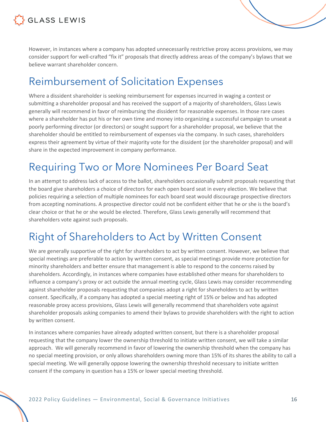

However, in instances where a company has adopted unnecessarily restrictive proxy access provisions, we may consider support for well-crafted "fix it" proposals that directly address areas of the company's bylaws that we believe warrant shareholder concern.

#### <span id="page-15-0"></span>Reimbursement of Solicitation Expenses

Where a dissident shareholder is seeking reimbursement for expenses incurred in waging a contest or submitting a shareholder proposal and has received the support of a majority of shareholders, Glass Lewis generally will recommend in favor of reimbursing the dissident for reasonable expenses. In those rare cases where a shareholder has put his or her own time and money into organizing a successful campaign to unseat a poorly performing director (or directors) or sought support for a shareholder proposal, we believe that the shareholder should be entitled to reimbursement of expenses via the company. In such cases, shareholders express their agreement by virtue of their majority vote for the dissident (or the shareholder proposal) and will share in the expected improvement in company performance.

#### <span id="page-15-1"></span>Requiring Two or More Nominees Per Board Seat

In an attempt to address lack of access to the ballot, shareholders occasionally submit proposals requesting that the board give shareholders a choice of directors for each open board seat in every election. We believe that policies requiring a selection of multiple nominees for each board seat would discourage prospective directors from accepting nominations. A prospective director could not be confident either that he or she is the board's clear choice or that he or she would be elected. Therefore, Glass Lewis generally will recommend that shareholders vote against such proposals.

#### <span id="page-15-2"></span>Right of Shareholders to Act by Written Consent

We are generally supportive of the right for shareholders to act by written consent. However, we believe that special meetings are preferable to action by written consent, as special meetings provide more protection for minority shareholders and better ensure that management is able to respond to the concerns raised by shareholders. Accordingly, in instances where companies have established other means for shareholders to influence a company's proxy or act outside the annual meeting cycle, Glass Lewis may consider recommending against shareholder proposals requesting that companies adopt a right for shareholders to act by written consent. Specifically, if a company has adopted a special meeting right of 15% or below and has adopted reasonable proxy access provisions, Glass Lewis will generally recommend that shareholders vote against shareholder proposals asking companies to amend their bylaws to provide shareholders with the right to action by written consent.

In instances where companies have already adopted written consent, but there is a shareholder proposal requesting that the company lower the ownership threshold to initiate written consent, we will take a similar approach. We will generally recommend in favor of lowering the ownership threshold when the company has no special meeting provision, or only allows shareholders owning more than 15% of its shares the ability to call a special meeting. We will generally oppose lowering the ownership threshold necessary to initiate written consent if the company in question has a 15% or lower special meeting threshold.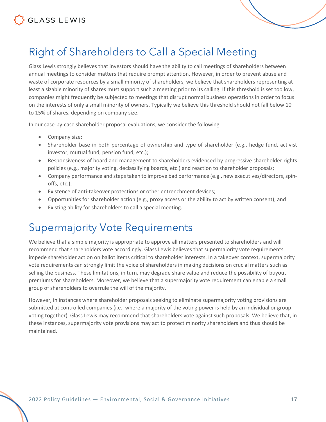

### <span id="page-16-0"></span>Right of Shareholders to Call a Special Meeting

Glass Lewis strongly believes that investors should have the ability to call meetings of shareholders between annual meetings to consider matters that require prompt attention. However, in order to prevent abuse and waste of corporate resources by a small minority of shareholders, we believe that shareholders representing at least a sizable minority of shares must support such a meeting prior to its calling. If this threshold is set too low, companies might frequently be subjected to meetings that disrupt normal business operations in order to focus on the interests of only a small minority of owners. Typically we believe this threshold should not fall below 10 to 15% of shares, depending on company size.

In our case-by-case shareholder proposal evaluations, we consider the following:

- Company size;
- Shareholder base in both percentage of ownership and type of shareholder (e.g., hedge fund, activist investor, mutual fund, pension fund, etc.);
- Responsiveness of board and management to shareholders evidenced by progressive shareholder rights policies (e.g., majority voting, declassifying boards, etc.) and reaction to shareholder proposals;
- Company performance and steps taken to improve bad performance (e.g., new executives/directors, spinoffs, etc.);
- Existence of anti-takeover protections or other entrenchment devices;
- Opportunities for shareholder action (e.g., proxy access or the ability to act by written consent); and
- Existing ability for shareholders to call a special meeting.

#### <span id="page-16-1"></span>Supermajority Vote Requirements

We believe that a simple majority is appropriate to approve all matters presented to shareholders and will recommend that shareholders vote accordingly. Glass Lewis believes that supermajority vote requirements impede shareholder action on ballot items critical to shareholder interests. In a takeover context, supermajority vote requirements can strongly limit the voice of shareholders in making decisions on crucial matters such as selling the business. These limitations, in turn, may degrade share value and reduce the possibility of buyout premiums for shareholders. Moreover, we believe that a supermajority vote requirement can enable a small group of shareholders to overrule the will of the majority.

However, in instances where shareholder proposals seeking to eliminate supermajority voting provisions are submitted at controlled companies (i.e., where a majority of the voting power is held by an individual or group voting together), Glass Lewis may recommend that shareholders vote against such proposals. We believe that, in these instances, supermajority vote provisions may act to protect minority shareholders and thus should be maintained.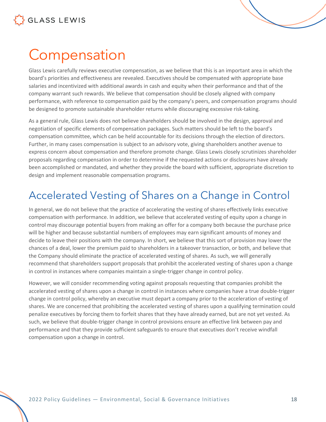## <span id="page-17-0"></span>**Compensation**

Glass Lewis carefully reviews executive compensation, as we believe that this is an important area in which the board's priorities and effectiveness are revealed. Executives should be compensated with appropriate base salaries and incentivized with additional awards in cash and equity when their performance and that of the company warrant such rewards. We believe that compensation should be closely aligned with company performance, with reference to compensation paid by the company's peers, and compensation programs should be designed to promote sustainable shareholder returns while discouraging excessive risk-taking.

As a general rule, Glass Lewis does not believe shareholders should be involved in the design, approval and negotiation of specific elements of compensation packages. Such matters should be left to the board's compensation committee, which can be held accountable for its decisions through the election of directors. Further, in many cases compensation is subject to an advisory vote, giving shareholders another avenue to express concern about compensation and therefore promote change. Glass Lewis closely scrutinizes shareholder proposals regarding compensation in order to determine if the requested actions or disclosures have already been accomplished or mandated, and whether they provide the board with sufficient, appropriate discretion to design and implement reasonable compensation programs.

### <span id="page-17-1"></span>Accelerated Vesting of Shares on a Change in Control

In general, we do not believe that the practice of accelerating the vesting of shares effectively links executive compensation with performance. In addition, we believe that accelerated vesting of equity upon a change in control may discourage potential buyers from making an offer for a company both because the purchase price will be higher and because substantial numbers of employees may earn significant amounts of money and decide to leave their positions with the company. In short, we believe that this sort of provision may lower the chances of a deal, lower the premium paid to shareholders in a takeover transaction, or both, and believe that the Company should eliminate the practice of accelerated vesting of shares. As such, we will generally recommend that shareholders support proposals that prohibit the accelerated vesting of shares upon a change in control in instances where companies maintain a single-trigger change in control policy.

However, we will consider recommending voting against proposals requesting that companies prohibit the accelerated vesting of shares upon a change in control in instances where companies have a true double-trigger change in control policy, whereby an executive must depart a company prior to the acceleration of vesting of shares. We are concerned that prohibiting the accelerated vesting of shares upon a qualifying termination could penalize executives by forcing them to forfeit shares that they have already earned, but are not yet vested. As such, we believe that double-trigger change in control provisions ensure an effective link between pay and performance and that they provide sufficient safeguards to ensure that executives don't receive windfall compensation upon a change in control.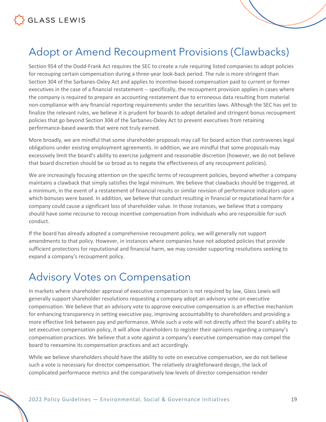

#### <span id="page-18-0"></span>Adopt or Amend Recoupment Provisions (Clawbacks)

Section 954 of the Dodd-Frank Act requires the SEC to create a rule requiring listed companies to adopt policies for recouping certain compensation during a three-year look-back period. The rule is more stringent than Section 304 of the Sarbanes-Oxley Act and applies to incentive-based compensation paid to current or former executives in the case of a financial restatement -- specifically, the recoupment provision applies in cases where the company is required to prepare an accounting restatement due to erroneous data resulting from material non-compliance with any financial reporting requirements under the securities laws. Although the SEC has yet to finalize the relevant rules, we believe it is prudent for boards to adopt detailed and stringent bonus recoupment policies that go beyond Section 304 of the Sarbanes-Oxley Act to prevent executives from retaining performance-based awards that were not truly earned.

More broadly, we are mindful that some shareholder proposals may call for board action that contravenes legal obligations under existing employment agreements. In addition, we are mindful that some proposals may excessively limit the board's ability to exercise judgment and reasonable discretion (however, we do not believe that board discretion should be so broad as to negate the effectiveness of any recoupment policies).

We are increasingly focusing attention on the specific terms of recoupment policies, beyond whether a company maintains a clawback that simply satisfies the legal minimum. We believe that clawbacks should be triggered, at a minimum, in the event of a restatement of financial results or similar revision of performance indicators upon which bonuses were based. In addition, we believe that conduct resulting in financial or reputational harm for a company could cause a significant loss of shareholder value. In those instances, we believe that a company should have some recourse to recoup incentive compensation from individuals who are responsible for such conduct.

If the board has already adopted a comprehensive recoupment policy, we will generally not support amendments to that policy. However, in instances where companies have not adopted policies that provide sufficient protections for reputational and financial harm, we may consider supporting resolutions seeking to expand a company's recoupment policy.

#### <span id="page-18-1"></span>Advisory Votes on Compensation

In markets where shareholder approval of executive compensation is not required by law, Glass Lewis will generally support shareholder resolutions requesting a company adopt an advisory vote on executive compensation. We believe that an advisory vote to approve executive compensation is an effective mechanism for enhancing transparency in setting executive pay, improving accountability to shareholders and providing a more effective link between pay and performance. While such a vote will not directly affect the board's ability to set executive compensation policy, it will allow shareholders to register their opinions regarding a company's compensation practices. We believe that a vote against a company's executive compensation may compel the board to reexamine its compensation practices and act accordingly.

While we believe shareholders should have the ability to vote on executive compensation, we do not believe such a vote is necessary for director compensation. The relatively straightforward design, the lack of complicated performance metrics and the comparatively low levels of director compensation render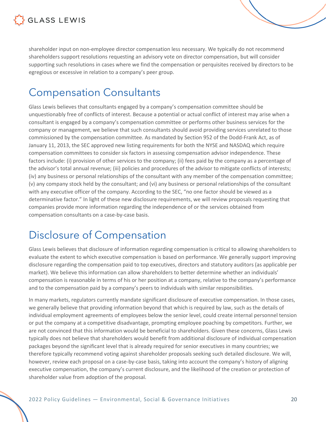

shareholder input on non-employee director compensation less necessary. We typically do not recommend shareholders support resolutions requesting an advisory vote on director compensation, but will consider supporting such resolutions in cases where we find the compensation or perquisites received by directors to be egregious or excessive in relation to a company's peer group.

#### <span id="page-19-0"></span>Compensation Consultants

Glass Lewis believes that consultants engaged by a company's compensation committee should be unquestionably free of conflicts of interest. Because a potential or actual conflict of interest may arise when a consultant is engaged by a company's compensation committee or performs other business services for the company or management, we believe that such consultants should avoid providing services unrelated to those commissioned by the compensation committee. As mandated by Section 952 of the Dodd-Frank Act, as of January 11, 2013, the SEC approved new listing requirements for both the NYSE and NASDAQ which require compensation committees to consider six factors in assessing compensation advisor independence. These factors include: (i) provision of other services to the company; (ii) fees paid by the company as a percentage of the advisor's total annual revenue; (iii) policies and procedures of the advisor to mitigate conflicts of interests; (iv) any business or personal relationships of the consultant with any member of the compensation committee; (v) any company stock held by the consultant; and (vi) any business or personal relationships of the consultant with any executive officer of the company. According to the SEC, "no one factor should be viewed as a determinative factor." In light of these new disclosure requirements, we will review proposals requesting that companies provide more information regarding the independence of or the services obtained from compensation consultants on a case-by-case basis.

### <span id="page-19-1"></span>Disclosure of Compensation

Glass Lewis believes that disclosure of information regarding compensation is critical to allowing shareholders to evaluate the extent to which executive compensation is based on performance. We generally support improving disclosure regarding the compensation paid to top executives, directors and statutory auditors (as applicable per market). We believe this information can allow shareholders to better determine whether an individuals' compensation is reasonable in terms of his or her position at a company, relative to the company's performance and to the compensation paid by a company's peers to individuals with similar responsibilities.

In many markets, regulators currently mandate significant disclosure of executive compensation. In those cases, we generally believe that providing information beyond that which is required by law, such as the details of individual employment agreements of employees below the senior level, could create internal personnel tension or put the company at a competitive disadvantage, prompting employee poaching by competitors. Further, we are not convinced that this information would be beneficial to shareholders. Given these concerns, Glass Lewis typically does not believe that shareholders would benefit from additional disclosure of individual compensation packages beyond the significant level that is already required for senior executives in many countries; we therefore typically recommend voting against shareholder proposals seeking such detailed disclosure. We will, however, review each proposal on a case-by-case basis, taking into account the company's history of aligning executive compensation, the company's current disclosure, and the likelihood of the creation or protection of shareholder value from adoption of the proposal.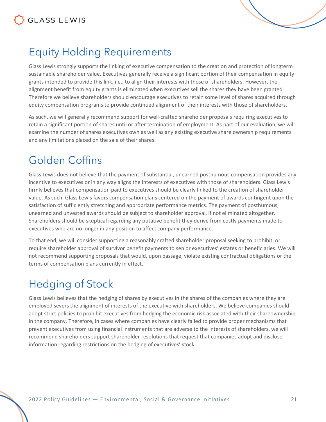

### <span id="page-20-0"></span>Equity Holding Requirements

Glass Lewis strongly supports the linking of executive compensation to the creation and protection of longterm sustainable shareholder value. Executives generally receive a significant portion of their compensation in equity grants intended to provide this link, i.e., to align their interests with those of shareholders. However, the alignment benefit from equity grants is eliminated when executives sell the shares they have been granted. Therefore we believe shareholders should encourage executives to retain some level of shares acquired through equity compensation programs to provide continued alignment of their interests with those of shareholders.

As such, we will generally recommend support for well-crafted shareholder proposals requiring executives to retain a significant portion of shares until or after termination of employment. As part of our evaluation, we will examine the number of shares executives own as well as any existing executive share ownership requirements and any limitations placed on the sale of their shares.

#### <span id="page-20-1"></span>Golden Coffins

Glass Lewis does not believe that the payment of substantial, unearned posthumous compensation provides any incentive to executives or in any way aligns the interests of executives with those of shareholders. Glass Lewis firmly believes that compensation paid to executives should be clearly linked to the creation of shareholder value. As such, Glass Lewis favors compensation plans centered on the payment of awards contingent upon the satisfaction of sufficiently stretching and appropriate performance metrics. The payment of posthumous, unearned and unvested awards should be subject to shareholder approval, if not eliminated altogether. Shareholders should be skeptical regarding any putative benefit they derive from costly payments made to executives who are no longer in any position to affect company performance.

To that end, we will consider supporting a reasonably crafted shareholder proposal seeking to prohibit, or require shareholder approval of survivor benefit payments to senior executives' estates or beneficiaries. We will not recommend supporting proposals that would, upon passage, violate existing contractual obligations or the terms of compensation plans currently in effect.

### <span id="page-20-2"></span>Hedging of Stock

Glass Lewis believes that the hedging of shares by executives in the shares of the companies where they are employed severs the alignment of interests of the executive with shareholders. We believe companies should adopt strict policies to prohibit executives from hedging the economic risk associated with their shareownership in the company. Therefore, in cases where companies have clearly failed to provide proper mechanisms that prevent executives from using financial instruments that are adverse to the interests of shareholders, we will recommend shareholders support shareholder resolutions that request that companies adopt and disclose information regarding restrictions on the hedging of executives' stock.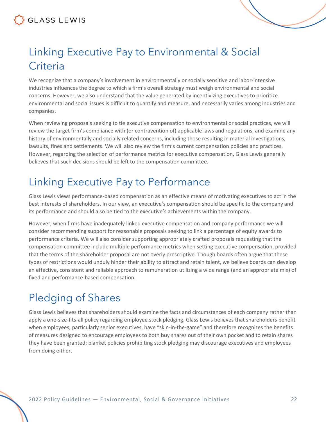### <span id="page-21-0"></span>Linking Executive Pay to Environmental & Social **Criteria**

We recognize that a company's involvement in environmentally or socially sensitive and labor-intensive industries influences the degree to which a firm's overall strategy must weigh environmental and social concerns. However, we also understand that the value generated by incentivizing executives to prioritize environmental and social issues is difficult to quantify and measure, and necessarily varies among industries and companies.

When reviewing proposals seeking to tie executive compensation to environmental or social practices, we will review the target firm's compliance with (or contravention of) applicable laws and regulations, and examine any history of environmentally and socially related concerns, including those resulting in material investigations, lawsuits, fines and settlements. We will also review the firm's current compensation policies and practices. However, regarding the selection of performance metrics for executive compensation, Glass Lewis generally believes that such decisions should be left to the compensation committee.

### <span id="page-21-1"></span>Linking Executive Pay to Performance

Glass Lewis views performance-based compensation as an effective means of motivating executives to act in the best interests of shareholders. In our view, an executive's compensation should be specific to the company and its performance and should also be tied to the executive's achievements within the company.

However, when firms have inadequately linked executive compensation and company performance we will consider recommending support for reasonable proposals seeking to link a percentage of equity awards to performance criteria. We will also consider supporting appropriately crafted proposals requesting that the compensation committee include multiple performance metrics when setting executive compensation, provided that the terms of the shareholder proposal are not overly prescriptive. Though boards often argue that these types of restrictions would unduly hinder their ability to attract and retain talent, we believe boards can develop an effective, consistent and reliable approach to remuneration utilizing a wide range (and an appropriate mix) of fixed and performance-based compensation.

### <span id="page-21-2"></span>Pledging of Shares

Glass Lewis believes that shareholders should examine the facts and circumstances of each company rather than apply a one-size-fits-all policy regarding employee stock pledging. Glass Lewis believes that shareholders benefit when employees, particularly senior executives, have "skin-in-the-game" and therefore recognizes the benefits of measures designed to encourage employees to both buy shares out of their own pocket and to retain shares they have been granted; blanket policies prohibiting stock pledging may discourage executives and employees from doing either.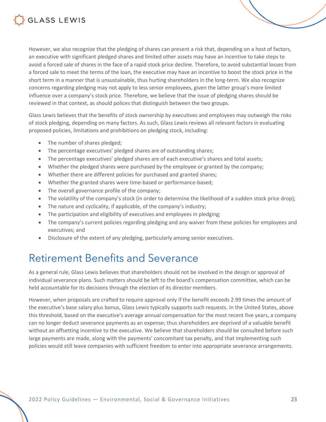

However, we also recognize that the pledging of shares can present a risk that, depending on a host of factors, an executive with significant pledged shares and limited other assets may have an incentive to take steps to avoid a forced sale of shares in the face of a rapid stock price decline. Therefore, to avoid substantial losses from a forced sale to meet the terms of the loan, the executive may have an incentive to boost the stock price in the short term in a manner that is unsustainable, thus hurting shareholders in the long-term. We also recognize concerns regarding pledging may not apply to less senior employees, given the latter group's more limited influence over a company's stock price. Therefore, we believe that the issue of pledging shares should be reviewed in that context, as should polices that distinguish between the two groups.

Glass Lewis believes that the benefits of stock ownership by executives and employees may outweigh the risks of stock pledging, depending on many factors. As such, Glass Lewis reviews all relevant factors in evaluating proposed policies, limitations and prohibitions on pledging stock, including:

- The number of shares pledged;
- The percentage executives' pledged shares are of outstanding shares;
- The percentage executives' pledged shares are of each executive's shares and total assets;
- Whether the pledged shares were purchased by the employee or granted by the company;
- Whether there are different policies for purchased and granted shares;
- Whether the granted shares were time-based or performance-based;
- The overall governance profile of the company;
- The volatility of the company's stock (in order to determine the likelihood of a sudden stock price drop);
- The nature and cyclicality, if applicable, of the company's industry;
- The participation and eligibility of executives and employees in pledging;
- The company's current policies regarding pledging and any waiver from these policies for employees and executives; and
- Disclosure of the extent of any pledging, particularly among senior executives.

#### <span id="page-22-0"></span>Retirement Benefits and Severance

As a general rule, Glass Lewis believes that shareholders should not be involved in the design or approval of individual severance plans. Such matters should be left to the board's compensation committee, which can be held accountable for its decisions through the election of its director members.

However, when proposals are crafted to require approval only if the benefit exceeds 2.99 times the amount of the executive's base salary plus bonus, Glass Lewis typically supports such requests. In the United States, above this threshold, based on the executive's average annual compensation for the most recent five years, a company can no longer deduct severance payments as an expense; thus shareholders are deprived of a valuable benefit without an offsetting incentive to the executive. We believe that shareholders should be consulted before such large payments are made, along with the payments' concomitant tax penalty, and that implementing such policies would still leave companies with sufficient freedom to enter into appropriate severance arrangements.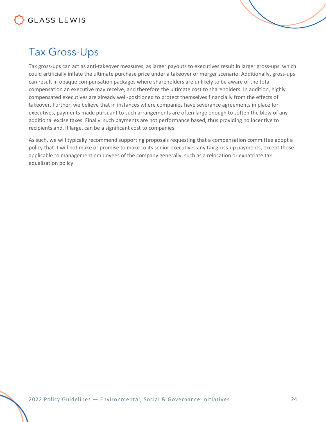

### <span id="page-23-0"></span>Tax Gross-Ups

Tax gross-ups can act as anti-takeover measures, as larger payouts to executives result in larger gross-ups, which could artificially inflate the ultimate purchase price under a takeover or merger scenario. Additionally, gross-ups can result in opaque compensation packages where shareholders are unlikely to be aware of the total compensation an executive may receive, and therefore the ultimate cost to shareholders. In addition, highly compensated executives are already well-positioned to protect themselves financially from the effects of takeover. Further, we believe that in instances where companies have severance agreements in place for executives, payments made pursuant to such arrangements are often large enough to soften the blow of any additional excise taxes. Finally, such payments are not performance based, thus providing no incentive to recipients and, if large, can be a significant cost to companies.

As such, we will typically recommend supporting proposals requesting that a compensation committee adopt a policy that it will not make or promise to make to its senior executives any tax gross-up payments, except those applicable to management employees of the company generally, such as a relocation or expatriate tax equalization policy.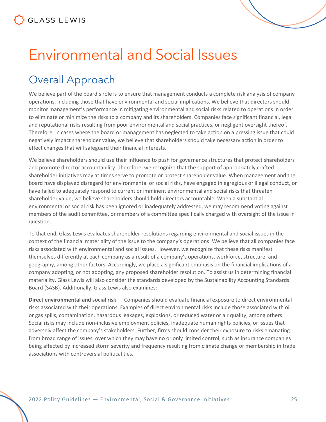# <span id="page-24-0"></span>Environmental and Social Issues

### <span id="page-24-1"></span>Overall Approach

We believe part of the board's role is to ensure that management conducts a complete risk analysis of company operations, including those that have environmental and social implications. We believe that directors should monitor management's performance in mitigating environmental and social risks related to operations in order to eliminate or minimize the risks to a company and its shareholders. Companies face significant financial, legal and reputational risks resulting from poor environmental and social practices, or negligent oversight thereof. Therefore, in cases where the board or management has neglected to take action on a pressing issue that could negatively impact shareholder value, we believe that shareholders should take necessary action in order to effect changes that will safeguard their financial interests.

We believe shareholders should use their influence to push for governance structures that protect shareholders and promote director accountability. Therefore, we recognize that the support of appropriately crafted shareholder initiatives may at times serve to promote or protect shareholder value. When management and the board have displayed disregard for environmental or social risks, have engaged in egregious or illegal conduct, or have failed to adequately respond to current or imminent environmental and social risks that threaten shareholder value, we believe shareholders should hold directors accountable. When a substantial environmental or social risk has been ignored or inadequately addressed, we may recommend voting against members of the audit committee, or members of a committee specifically charged with oversight of the issue in question.

To that end, Glass Lewis evaluates shareholder resolutions regarding environmental and social issues in the context of the financial materiality of the issue to the company's operations. We believe that all companies face risks associated with environmental and social issues. However, we recognize that these risks manifest themselves differently at each company as a result of a company's operations, workforce, structure, and geography, among other factors. Accordingly, we place a significant emphasis on the financial implications of a company adopting, or not adopting, any proposed shareholder resolution. To assist us in determining financial materiality, Glass Lewis will also consider the standards developed by the Sustainability Accounting Standards Board (SASB). Additionally, Glass Lewis also examines:

**Direct environmental and social risk** — Companies should evaluate financial exposure to direct environmental risks associated with their operations. Examples of direct environmental risks include those associated with oil or gas spills, contamination, hazardous leakages, explosions, or reduced water or air quality, among others. Social risks may include non-inclusive employment policies, inadequate human rights policies, or issues that adversely affect the company's stakeholders. Further, firms should consider their exposure to risks emanating from broad range of issues, over which they may have no or only limited control, such as insurance companies being affected by increased storm severity and frequency resulting from climate change or membership in trade associations with controversial political ties.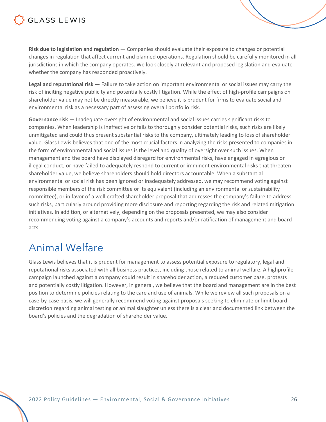

**Risk due to legislation and regulation** — Companies should evaluate their exposure to changes or potential changes in regulation that affect current and planned operations. Regulation should be carefully monitored in all jurisdictions in which the company operates. We look closely at relevant and proposed legislation and evaluate whether the company has responded proactively.

**Legal and reputational risk** — Failure to take action on important environmental or social issues may carry the risk of inciting negative publicity and potentially costly litigation. While the effect of high-profile campaigns on shareholder value may not be directly measurable, we believe it is prudent for firms to evaluate social and environmental risk as a necessary part of assessing overall portfolio risk.

**Governance risk** — Inadequate oversight of environmental and social issues carries significant risks to companies. When leadership is ineffective or fails to thoroughly consider potential risks, such risks are likely unmitigated and could thus present substantial risks to the company, ultimately leading to loss of shareholder value. Glass Lewis believes that one of the most crucial factors in analyzing the risks presented to companies in the form of environmental and social issues is the level and quality of oversight over such issues. When management and the board have displayed disregard for environmental risks, have engaged in egregious or illegal conduct, or have failed to adequately respond to current or imminent environmental risks that threaten shareholder value, we believe shareholders should hold directors accountable. When a substantial environmental or social risk has been ignored or inadequately addressed, we may recommend voting against responsible members of the risk committee or its equivalent (including an environmental or sustainability committee), or in favor of a well-crafted shareholder proposal that addresses the company's failure to address such risks, particularly around providing more disclosure and reporting regarding the risk and related mitigation initiatives. In addition, or alternatively, depending on the proposals presented, we may also consider recommending voting against a company's accounts and reports and/or ratification of management and board acts.

#### <span id="page-25-0"></span>Animal Welfare

Glass Lewis believes that it is prudent for management to assess potential exposure to regulatory, legal and reputational risks associated with all business practices, including those related to animal welfare. A highprofile campaign launched against a company could result in shareholder action, a reduced customer base, protests and potentially costly litigation. However, in general, we believe that the board and management are in the best position to determine policies relating to the care and use of animals. While we review all such proposals on a case-by-case basis, we will generally recommend voting against proposals seeking to eliminate or limit board discretion regarding animal testing or animal slaughter unless there is a clear and documented link between the board's policies and the degradation of shareholder value.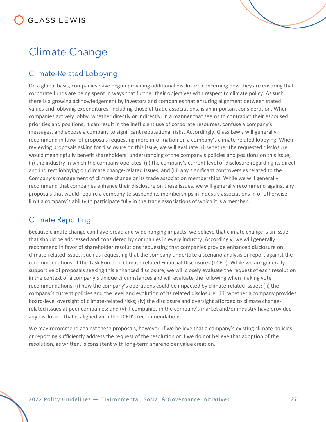### <span id="page-26-0"></span>Climate Change

#### <span id="page-26-1"></span>Climate-Related Lobbying

On a global basis, companies have begun providing additional disclosure concerning how they are ensuring that corporate funds are being spent in ways that further their objectives with respect to climate policy. As such, there is a growing acknowledgement by investors and companies that ensuring alignment between stated values and lobbying expenditures, including those of trade associations, is an important consideration. When companies actively lobby, whether directly or indirectly, in a manner that seems to contradict their espoused priorities and positions, it can result in the inefficient use of corporate resources, confuse a company's messages, and expose a company to significant reputational risks. Accordingly, Glass Lewis will generally recommend in favor of proposals requesting more information on a company's climate-related lobbying. When reviewing proposals asking for disclosure on this issue, we will evaluate: (i) whether the requested disclosure would meaningfully benefit shareholders' understanding of the company's policies and positions on this issue; (ii) the industry in which the company operates; (ii) the company's current level of disclosure regarding its direct and indirect lobbying on climate change-related issues; and (iii) any significant controversies related to the Company's management of climate change or its trade association memberships. While we will generally recommend that companies enhance their disclosure on these issues, we will generally recommend against any proposals that would require a company to suspend its memberships in industry associations in or otherwise limit a company's ability to participate fully in the trade associations of which it is a member.

#### <span id="page-26-2"></span>Climate Reporting

Because climate change can have broad and wide-ranging impacts, we believe that climate change is an issue that should be addressed and considered by companies in every industry. Accordingly, we will generally recommend in favor of shareholder resolutions requesting that companies provide enhanced disclosure on climate-related issues, such as requesting that the company undertake a scenario analysis or report against the recommendations of the Task Force on Climate-related Financial Disclosures (TCFD). While we are generally supportive of proposals seeking this enhanced disclosure, we will closely evaluate the request of each resolution in the context of a company's unique circumstances and will evaluate the following when making vote recommendations: (i) how the company's operations could be impacted by climate-related issues; (ii) the company's current policies and the level and evolution of its related disclosure; (iii) whether a company provides board-level oversight of climate-related risks; (iv) the disclosure and oversight afforded to climate changerelated issues at peer companies; and (v) if companies in the company's market and/or industry have provided any disclosure that is aligned with the TCFD's recommendations.

We may recommend against these proposals, however, if we believe that a company's existing climate policies or reporting sufficiently address the request of the resolution or if we do not believe that adoption of the resolution, as written, is consistent with long-term shareholder value creation.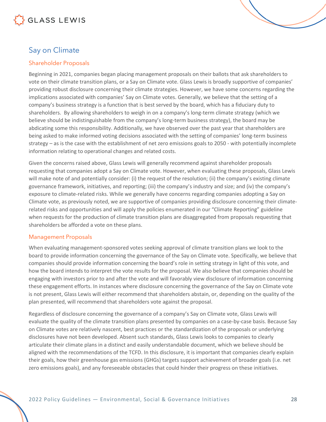

#### <span id="page-27-0"></span>Say on Climate

#### Shareholder Proposals

Beginning in 2021, companies began placing management proposals on their ballots that ask shareholders to vote on their climate transition plans, or a Say on Climate vote. Glass Lewis is broadly supportive of companies' providing robust disclosure concerning their climate strategies. However, we have some concerns regarding the implications associated with companies' Say on Climate votes. Generally, we believe that the setting of a company's business strategy is a function that is best served by the board, which has a fiduciary duty to shareholders. By allowing shareholders to weigh in on a company's long-term climate strategy (which we believe should be indistinguishable from the company's long-term business strategy), the board may be abdicating some this responsibility. Additionally, we have observed over the past year that shareholders are being asked to make informed voting decisions associated with the setting of companies' long-term business strategy – as is the case with the establishment of net zero emissions goals to 2050 - with potentially incomplete information relating to operational changes and related costs.

Given the concerns raised above, Glass Lewis will generally recommend against shareholder proposals requesting that companies adopt a Say on Climate vote. However, when evaluating these proposals, Glass Lewis will make note of and potentially consider: (i) the request of the resolution; (ii) the company's existing climate governance framework, initiatives, and reporting; (iii) the company's industry and size; and (iv) the company's exposure to climate-related risks. While we generally have concerns regarding companies adopting a Say on Climate vote, as previously noted, we are supportive of companies providing disclosure concerning their climaterelated risks and opportunities and will apply the policies enumerated in our "Climate Reporting" guideline when requests for the production of climate transition plans are disaggregated from proposals requesting that shareholders be afforded a vote on these plans.

#### Management Proposals

When evaluating management-sponsored votes seeking approval of climate transition plans we look to the board to provide information concerning the governance of the Say on Climate vote. Specifically, we believe that companies should provide information concerning the board's role in setting strategy in light of this vote, and how the board intends to interpret the vote results for the proposal. We also believe that companies should be engaging with investors prior to and after the vote and will favorably view disclosure of information concerning these engagement efforts. In instances where disclosure concerning the governance of the Say on Climate vote is not present, Glass Lewis will either recommend that shareholders abstain, or, depending on the quality of the plan presented, will recommend that shareholders vote against the proposal.

Regardless of disclosure concerning the governance of a company's Say on Climate vote, Glass Lewis will evaluate the quality of the climate transition plans presented by companies on a case-by-case basis. Because Say on Climate votes are relatively nascent, best practices or the standardization of the proposals or underlying disclosures have not been developed. Absent such standards, Glass Lewis looks to companies to clearly articulate their climate plans in a distinct and easily understandable document, which we believe should be aligned with the recommendations of the TCFD. In this disclosure, it is important that companies clearly explain their goals, how their greenhouse gas emissions (GHGs) targets support achievement of broader goals (i.e. net zero emissions goals), and any foreseeable obstacles that could hinder their progress on these initiatives.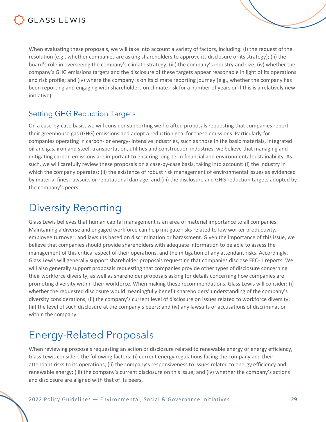

When evaluating these proposals, we will take into account a variety of factors, including: (i) the request of the resolution (e.g., whether companies are asking shareholders to approve its disclosure or its strategy); (ii) the board's role in overseeing the company's climate strategy; (iii) the company's industry and size; (iv) whether the company's GHG emissions targets and the disclosure of these targets appear reasonable in light of its operations and risk profile; and (iv) where the company is on its climate reporting journey (e.g., whether the company has been reporting and engaging with shareholders on climate risk for a number of years or if this is a relatively new initiative).

#### <span id="page-28-0"></span>Setting GHG Reduction Targets

On a case-by-case basis, we will consider supporting well-crafted proposals requesting that companies report their greenhouse gas (GHG) emissions and adopt a reduction goal for these emissions. Particularly for companies operating in carbon- or energy- intensive industries, such as those in the basic materials, integrated oil and gas, iron and steel, transportation, utilities and construction industries, we believe that managing and mitigating carbon emissions are important to ensuring long-term financial and environmental sustainability. As such, we will carefully review these proposals on a case-by-case basis, taking into account: (i) the industry in which the company operates; (ii) the existence of robust risk management of environmental issues as evidenced by material fines, lawsuits or reputational damage; and (iii) the disclosure and GHG reduction targets adopted by the company's peers.

#### <span id="page-28-1"></span>Diversity Reporting

Glass Lewis believes that human capital management is an area of material importance to all companies. Maintaining a diverse and engaged workforce can help mitigate risks related to low worker productivity, employee turnover, and lawsuits based on discrimination or harassment. Given the importance of this issue, we believe that companies should provide shareholders with adequate information to be able to assess the management of this critical aspect of their operations, and the mitigation of any attendant risks. Accordingly, Glass Lewis will generally support shareholder proposals requesting that companies disclose EEO-1 reports. We will also generally support proposals requesting that companies provide other types of disclosure concerning their workforce diversity, as well as shareholder proposals asking for details concerning how companies are promoting diversity within their workforce. When making these recommendations, Glass Lewis will consider: (i) whether the requested disclosure would meaningfully benefit shareholders' understanding of the company's diversity considerations; (ii) the company's current level of disclosure on issues related to workforce diversity; (iii) the level of such disclosure at the company's peers; and (iv) any lawsuits or accusations of discrimination within the company.

### <span id="page-28-2"></span>Energy-Related Proposals

When reviewing proposals requesting an action or disclosure related to renewable energy or energy efficiency, Glass Lewis considers the following factors: (i) current energy regulations facing the company and their attendant risks to its operations; (ii) the company's responsiveness to issues related to energy efficiency and renewable energy; (iii) the company's current disclosure on this issue; and (iv) whether the company's actions and disclosure are aligned with that of its peers.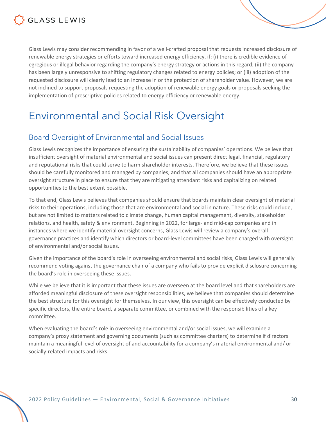

Glass Lewis may consider recommending in favor of a well-crafted proposal that requests increased disclosure of renewable energy strategies or efforts toward increased energy efficiency, if: (i) there is credible evidence of egregious or illegal behavior regarding the company's energy strategy or actions in this regard; (ii) the company has been largely unresponsive to shifting regulatory changes related to energy policies; or (iii) adoption of the requested disclosure will clearly lead to an increase in or the protection of shareholder value. However, we are not inclined to support proposals requesting the adoption of renewable energy goals or proposals seeking the implementation of prescriptive policies related to energy efficiency or renewable energy.

### <span id="page-29-0"></span>Environmental and Social Risk Oversight

#### <span id="page-29-1"></span>Board Oversight of Environmental and Social Issues

Glass Lewis recognizes the importance of ensuring the sustainability of companies' operations. We believe that insufficient oversight of material environmental and social issues can present direct legal, financial, regulatory and reputational risks that could serve to harm shareholder interests. Therefore, we believe that these issues should be carefully monitored and managed by companies, and that all companies should have an appropriate oversight structure in place to ensure that they are mitigating attendant risks and capitalizing on related opportunities to the best extent possible.

To that end, Glass Lewis believes that companies should ensure that boards maintain clear oversight of material risks to their operations, including those that are environmental and social in nature. These risks could include, but are not limited to matters related to climate change, human capital management, diversity, stakeholder relations, and health, safety & environment. Beginning in 2022, for large- and mid-cap companies and in instances where we identify material oversight concerns, Glass Lewis will review a company's overall governance practices and identify which directors or board-level committees have been charged with oversight of environmental and/or social issues.

Given the importance of the board's role in overseeing environmental and social risks, Glass Lewis will generally recommend voting against the governance chair of a company who fails to provide explicit disclosure concerning the board's role in overseeing these issues.

While we believe that it is important that these issues are overseen at the board level and that shareholders are afforded meaningful disclosure of these oversight responsibilities, we believe that companies should determine the best structure for this oversight for themselves. In our view, this oversight can be effectively conducted by specific directors, the entire board, a separate committee, or combined with the responsibilities of a key committee.

When evaluating the board's role in overseeing environmental and/or social issues, we will examine a company's proxy statement and governing documents (such as committee charters) to determine if directors maintain a meaningful level of oversight of and accountability for a company's material environmental and/ or socially-related impacts and risks.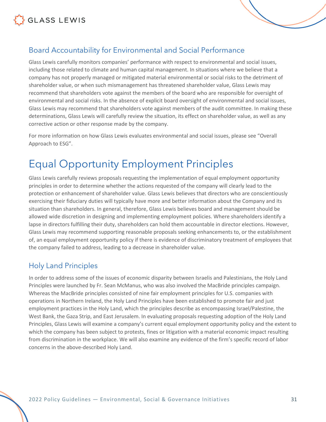

<span id="page-30-0"></span>

Glass Lewis carefully monitors companies' performance with respect to environmental and social issues, including those related to climate and human capital management. In situations where we believe that a company has not properly managed or mitigated material environmental or social risks to the detriment of shareholder value, or when such mismanagement has threatened shareholder value, Glass Lewis may recommend that shareholders vote against the members of the board who are responsible for oversight of environmental and social risks. In the absence of explicit board oversight of environmental and social issues, Glass Lewis may recommend that shareholders vote against members of the audit committee. In making these determinations, Glass Lewis will carefully review the situation, its effect on shareholder value, as well as any corrective action or other response made by the company.

For more information on how Glass Lewis evaluates environmental and social issues, please see "Overall Approach to ESG".

#### <span id="page-30-1"></span>Equal Opportunity Employment Principles

Glass Lewis carefully reviews proposals requesting the implementation of equal employment opportunity principles in order to determine whether the actions requested of the company will clearly lead to the protection or enhancement of shareholder value. Glass Lewis believes that directors who are conscientiously exercising their fiduciary duties will typically have more and better information about the Company and its situation than shareholders. In general, therefore, Glass Lewis believes board and management should be allowed wide discretion in designing and implementing employment policies. Where shareholders identify a lapse in directors fulfilling their duty, shareholders can hold them accountable in director elections. However, Glass Lewis may recommend supporting reasonable proposals seeking enhancements to, or the establishment of, an equal employment opportunity policy if there is evidence of discriminatory treatment of employees that the company failed to address, leading to a decrease in shareholder value.

#### <span id="page-30-2"></span>Holy Land Principles

In order to address some of the issues of economic disparity between Israelis and Palestinians, the Holy Land Principles were launched by Fr. Sean McManus, who was also involved the MacBride principles campaign. Whereas the MacBride principles consisted of nine fair employment principles for U.S. companies with operations in Northern Ireland, the Holy Land Principles have been established to promote fair and just employment practices in the Holy Land, which the principles describe as encompassing Israel/Palestine, the West Bank, the Gaza Strip, and East Jerusalem. In evaluating proposals requesting adoption of the Holy Land Principles, Glass Lewis will examine a company's current equal employment opportunity policy and the extent to which the company has been subject to protests, fines or litigation with a material economic impact resulting from discrimination in the workplace. We will also examine any evidence of the firm's specific record of labor concerns in the above-described Holy Land.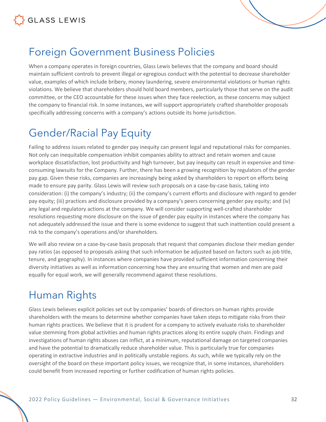

#### <span id="page-31-0"></span>Foreign Government Business Policies

When a company operates in foreign countries, Glass Lewis believes that the company and board should maintain sufficient controls to prevent illegal or egregious conduct with the potential to decrease shareholder value, examples of which include bribery, money laundering, severe environmental violations or human rights violations. We believe that shareholders should hold board members, particularly those that serve on the audit committee, or the CEO accountable for these issues when they face reelection, as these concerns may subject the company to financial risk. In some instances, we will support appropriately crafted shareholder proposals specifically addressing concerns with a company's actions outside its home jurisdiction.

### <span id="page-31-1"></span>Gender/Racial Pay Equity

Failing to address issues related to gender pay inequity can present legal and reputational risks for companies. Not only can inequitable compensation inhibit companies ability to attract and retain women and cause workplace dissatisfaction, lost productivity and high turnover, but pay inequity can result in expensive and timeconsuming lawsuits for the Company. Further, there has been a growing recognition by regulators of the gender pay gap. Given these risks, companies are increasingly being asked by shareholders to report on efforts being made to ensure pay parity. Glass Lewis will review such proposals on a case-by-case basis, taking into consideration: (i) the company's industry; (ii) the company's current efforts and disclosure with regard to gender pay equity; (iii) practices and disclosure provided by a company's peers concerning gender pay equity; and (iv) any legal and regulatory actions at the company. We will consider supporting well-crafted shareholder resolutions requesting more disclosure on the issue of gender pay equity in instances where the company has not adequately addressed the issue and there is some evidence to suggest that such inattention could present a risk to the company's operations and/or shareholders.

We will also review on a case-by-case basis proposals that request that companies disclose their median gender pay ratios (as opposed to proposals asking that such information be adjusted based on factors such as job title, tenure, and geography). In instances where companies have provided sufficient information concerning their diversity initiatives as well as information concerning how they are ensuring that women and men are paid equally for equal work, we will generally recommend against these resolutions.

#### <span id="page-31-2"></span>Human Rights

Glass Lewis believes explicit policies set out by companies' boards of directors on human rights provide shareholders with the means to determine whether companies have taken steps to mitigate risks from their human rights practices. We believe that it is prudent for a company to actively evaluate risks to shareholder value stemming from global activities and human rights practices along its entire supply chain. Findings and investigations of human rights abuses can inflict, at a minimum, reputational damage on targeted companies and have the potential to dramatically reduce shareholder value. This is particularly true for companies operating in extractive industries and in politically unstable regions. As such, while we typically rely on the oversight of the board on these important policy issues, we recognize that, in some instances, shareholders could benefit from increased reporting or further codification of human rights policies.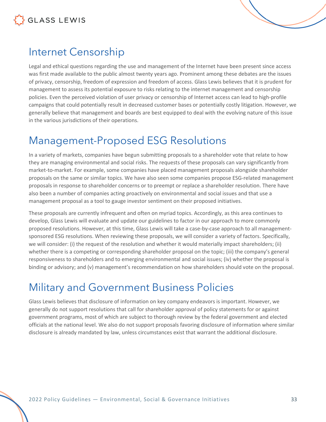



#### <span id="page-32-0"></span>Internet Censorship

Legal and ethical questions regarding the use and management of the Internet have been present since access was first made available to the public almost twenty years ago. Prominent among these debates are the issues of privacy, censorship, freedom of expression and freedom of access. Glass Lewis believes that it is prudent for management to assess its potential exposure to risks relating to the internet management and censorship policies. Even the perceived violation of user privacy or censorship of Internet access can lead to high-profile campaigns that could potentially result in decreased customer bases or potentially costly litigation. However, we generally believe that management and boards are best equipped to deal with the evolving nature of this issue in the various jurisdictions of their operations.

#### <span id="page-32-1"></span>Management-Proposed ESG Resolutions

In a variety of markets, companies have begun submitting proposals to a shareholder vote that relate to how they are managing environmental and social risks. The requests of these proposals can vary significantly from market-to-market. For example, some companies have placed management proposals alongside shareholder proposals on the same or similar topics. We have also seen some companies propose ESG-related management proposals in response to shareholder concerns or to preempt or replace a shareholder resolution. There have also been a number of companies acting proactively on environmental and social issues and that use a management proposal as a tool to gauge investor sentiment on their proposed initiatives.

These proposals are currently infrequent and often on myriad topics. Accordingly, as this area continues to develop, Glass Lewis will evaluate and update our guidelines to factor in our approach to more commonly proposed resolutions. However, at this time, Glass Lewis will take a case-by-case approach to all managementsponsored ESG resolutions. When reviewing these proposals, we will consider a variety of factors. Specifically, we will consider: (i) the request of the resolution and whether it would materially impact shareholders; (ii) whether there is a competing or corresponding shareholder proposal on the topic; (iii) the company's general responsiveness to shareholders and to emerging environmental and social issues; (iv) whether the proposal is binding or advisory; and (v) management's recommendation on how shareholders should vote on the proposal.

### <span id="page-32-2"></span>Military and Government Business Policies

Glass Lewis believes that disclosure of information on key company endeavors is important. However, we generally do not support resolutions that call for shareholder approval of policy statements for or against government programs, most of which are subject to thorough review by the federal government and elected officials at the national level. We also do not support proposals favoring disclosure of information where similar disclosure is already mandated by law, unless circumstances exist that warrant the additional disclosure.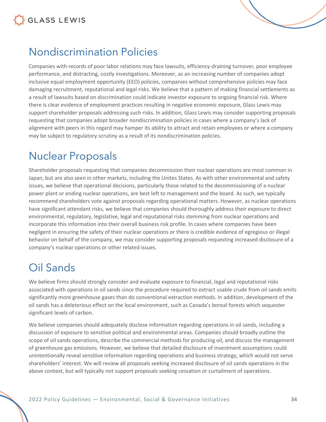



### <span id="page-33-0"></span>Nondiscrimination Policies

Companies with records of poor labor relations may face lawsuits, efficiency-draining turnover, poor employee performance, and distracting, costly investigations. Moreover, as an increasing number of companies adopt inclusive equal employment opportunity (EEO) policies, companies without comprehensive policies may face damaging recruitment, reputational and legal risks. We believe that a pattern of making financial settlements as a result of lawsuits based on discrimination could indicate investor exposure to ongoing financial risk. Where there is clear evidence of employment practices resulting in negative economic exposure, Glass Lewis may support shareholder proposals addressing such risks. In addition, Glass Lewis may consider supporting proposals requesting that companies adopt broader nondiscrimination policies in cases where a company's lack of alignment with peers in this regard may hamper its ability to attract and retain employees or where a company may be subject to regulatory scrutiny as a result of its nondiscrimination policies.

### <span id="page-33-1"></span>Nuclear Proposals

Shareholder proposals requesting that companies decommission their nuclear operations are most common in Japan, but are also seen in other markets, including the Unites States. As with other environmental and safety issues, we believe that operational decisions, particularly those related to the decommissioning of a nuclear power plant or ending nuclear operations, are best left to management and the board. As such, we typically recommend shareholders vote against proposals regarding operational matters. However, as nuclear operations have significant attendant risks, we believe that companies should thoroughly address their exposure to direct environmental, regulatory, legislative, legal and reputational risks stemming from nuclear operations and incorporate this information into their overall business risk profile. In cases where companies have been negligent in ensuring the safety of their nuclear operations or there is credible evidence of egregious or illegal behavior on behalf of the company, we may consider supporting proposals requesting increased disclosure of a company's nuclear operations or other related issues.

### <span id="page-33-2"></span>Oil Sands

We believe firms should strongly consider and evaluate exposure to financial, legal and reputational risks associated with operations in oil sands since the procedure required to extract usable crude from oil sands emits significantly more greenhouse gases than do conventional extraction methods. In addition, development of the oil sands has a deleterious effect on the local environment, such as Canada's boreal forests which sequester significant levels of carbon.

We believe companies should adequately disclose information regarding operations in oil sands, including a discussion of exposure to sensitive political and environmental areas. Companies should broadly outline the scope of oil sands operations, describe the commercial methods for producing oil, and discuss the management of greenhouse gas emissions. However, we believe that detailed disclosure of investment assumptions could unintentionally reveal sensitive information regarding operations and business strategy, which would not serve shareholders' interest. We will review all proposals seeking increased disclosure of oil sands operations in the above context, but will typically not support proposals seeking cessation or curtailment of operations.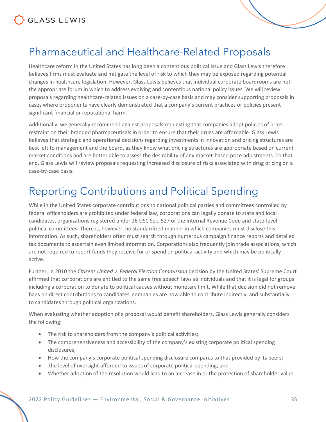

#### <span id="page-34-0"></span>Pharmaceutical and Healthcare-Related Proposals

Healthcare reform in the United States has long been a contentious political issue and Glass Lewis therefore believes firms must evaluate and mitigate the level of risk to which they may be exposed regarding potential changes in healthcare legislation. However, Glass Lewis believes that individual corporate boardrooms are not the appropriate forum in which to address evolving and contentious national policy issues. We will review proposals regarding healthcare-related issues on a case-by-case basis and may consider supporting proposals in cases where proponents have clearly demonstrated that a company's current practices or policies present significant financial or reputational harm.

Additionally, we generally recommend against proposals requesting that companies adopt policies of price restraint on their branded pharmaceuticals in order to ensure that their drugs are affordable. Glass Lewis believes that strategic and operational decisions regarding investments in innovation and pricing structures are best left to management and the board, as they know what pricing structures are appropriate based on current market conditions and are better able to assess the desirability of any market-based price adjustments. To that end, Glass Lewis will review proposals requesting increased disclosure of risks associated with drug pricing on a case-by-case basis.

#### <span id="page-34-1"></span>Reporting Contributions and Political Spending

While in the United States corporate contributions to national political parties and committees controlled by federal officeholders are prohibited under federal law, corporations can legally donate to state and local candidates, organizations registered under 26 USC Sec. 527 of the Internal Revenue Code and state-level political committees. There is, however, no standardized manner in which companies must disclose this information. As such, shareholders often must search through numerous campaign finance reports and detailed tax documents to ascertain even limited information. Corporations also frequently join trade associations, which are not required to report funds they receive for or spend on political activity and which may be politically active.

Further, in 2010 the *Citizens United v. Federal Election Commission* decision by the United States' Supreme Court affirmed that corporations are entitled to the same free speech laws as individuals and that it is legal for groups including a corporation to donate to political causes without monetary limit. While that decision did not remove bans on direct contributions to candidates, companies are now able to contribute indirectly, and substantially, to candidates through political organizations.

When evaluating whether adoption of a proposal would benefit shareholders, Glass Lewis generally considers the following:

- The risk to shareholders from the company's political activities;
- The comprehensiveness and accessibility of the company's existing corporate political spending disclosures;
- How the company's corporate political spending disclosure compares to that provided by its peers;
- The level of oversight afforded to issues of corporate political spending; and
- Whether adoption of the resolution would lead to an increase in or the protection of shareholder value.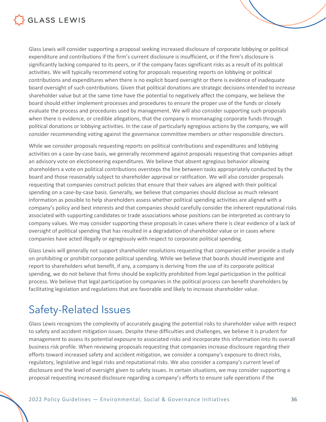

Glass Lewis will consider supporting a proposal seeking increased disclosure of corporate lobbying or political expenditure and contributions if the firm's current disclosure is insufficient, or if the firm's disclosure is significantly lacking compared to its peers, or if the company faces significant risks as a result of its political activities. We will typically recommend voting for proposals requesting reports on lobbying or political contributions and expenditures when there is no explicit board oversight or there is evidence of inadequate board oversight of such contributions. Given that political donations are strategic decisions intended to increase shareholder value but at the same time have the potential to negatively affect the company, we believe the board should either implement processes and procedures to ensure the proper use of the funds or closely evaluate the process and procedures used by management. We will also consider supporting such proposals when there is evidence, or credible allegations, that the company is mismanaging corporate funds through political donations or lobbying activities. In the case of particularly egregious actions by the company, we will consider recommending voting against the governance committee members or other responsible directors.

While we consider proposals requesting reports on political contributions and expenditures and lobbying activities on a case-by-case basis, we generally recommend against proposals requesting that companies adopt an advisory vote on electioneering expenditures. We believe that absent egregious behavior allowing shareholders a vote on political contributions oversteps the line between tasks appropriately conducted by the board and those reasonably subject to shareholder approval or ratification. We will also consider proposals requesting that companies construct policies that ensure that their values are aligned with their political spending on a case-by-case basis. Generally, we believe that companies should disclose as much relevant information as possible to help shareholders assess whether political spending activities are aligned with a company's policy and best interests and that companies should carefully consider the inherent reputational risks associated with supporting candidates or trade associations whose positions can be interpreted as contrary to company values. We may consider supporting these proposals in cases where there is clear evidence of a lack of oversight of political spending that has resulted in a degradation of shareholder value or in cases where companies have acted illegally or egregiously with respect to corporate political spending.

Glass Lewis will generally not support shareholder resolutions requesting that companies either provide a study on prohibiting or prohibit corporate political spending. While we believe that boards should investigate and report to shareholders what benefit, if any, a company is deriving from the use of its corporate political spending, we do not believe that firms should be explicitly prohibited from legal participation in the political process. We believe that legal participation by companies in the political process can benefit shareholders by facilitating legislation and regulations that are favorable and likely to increase shareholder value.

#### <span id="page-35-0"></span>Safety-Related Issues

Glass Lewis recognizes the complexity of accurately gauging the potential risks to shareholder value with respect to safety and accident mitigation issues. Despite these difficulties and challenges, we believe it is prudent for management to assess its potential exposure to associated risks and incorporate this information into its overall business risk profile. When reviewing proposals requesting that companies increase disclosure regarding their efforts toward increased safety and accident mitigation, we consider a company's exposure to direct risks, regulatory, legislative and legal risks and reputational risks. We also consider a company's current level of disclosure and the level of oversight given to safety issues. In certain situations, we may consider supporting a proposal requesting increased disclosure regarding a company's efforts to ensure safe operations if the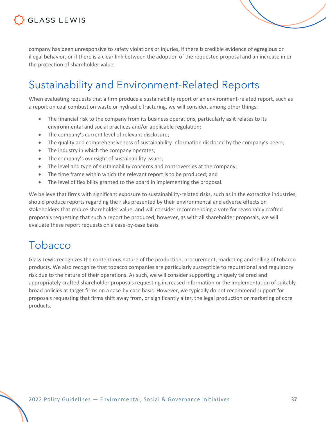

company has been unresponsive to safety violations or injuries, if there is credible evidence of egregious or illegal behavior, or if there is a clear link between the adoption of the requested proposal and an increase in or the protection of shareholder value.

#### <span id="page-36-0"></span>Sustainability and Environment-Related Reports

When evaluating requests that a firm produce a sustainability report or an environment-related report, such as a report on coal combustion waste or hydraulic fracturing, we will consider, among other things:

- The financial risk to the company from its business operations, particularly as it relates to its environmental and social practices and/or applicable regulation;
- The company's current level of relevant disclosure;
- The quality and comprehensiveness of sustainability information disclosed by the company's peers;
- The industry in which the company operates;
- The company's oversight of sustainability issues;
- The level and type of sustainability concerns and controversies at the company;
- The time frame within which the relevant report is to be produced; and
- The level of flexibility granted to the board in implementing the proposal.

We believe that firms with significant exposure to sustainability-related risks, such as in the extractive industries, should produce reports regarding the risks presented by their environmental and adverse effects on stakeholders that reduce shareholder value, and will consider recommending a vote for reasonably crafted proposals requesting that such a report be produced; however, as with all shareholder proposals, we will evaluate these report requests on a case-by-case basis.

#### <span id="page-36-1"></span>Tobacco

Glass Lewis recognizes the contentious nature of the production, procurement, marketing and selling of tobacco products. We also recognize that tobacco companies are particularly susceptible to reputational and regulatory risk due to the nature of their operations. As such, we will consider supporting uniquely tailored and appropriately crafted shareholder proposals requesting increased information or the implementation of suitably broad policies at target firms on a case-by-case basis. However, we typically do not recommend support for proposals requesting that firms shift away from, or significantly alter, the legal production or marketing of core products.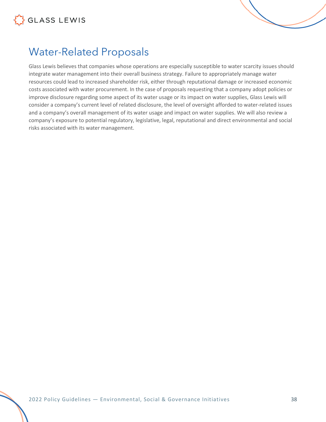



### <span id="page-37-0"></span>Water-Related Proposals

Glass Lewis believes that companies whose operations are especially susceptible to water scarcity issues should integrate water management into their overall business strategy. Failure to appropriately manage water resources could lead to increased shareholder risk, either through reputational damage or increased economic costs associated with water procurement. In the case of proposals requesting that a company adopt policies or improve disclosure regarding some aspect of its water usage or its impact on water supplies, Glass Lewis will consider a company's current level of related disclosure, the level of oversight afforded to water-related issues and a company's overall management of its water usage and impact on water supplies. We will also review a company's exposure to potential regulatory, legislative, legal, reputational and direct environmental and social risks associated with its water management.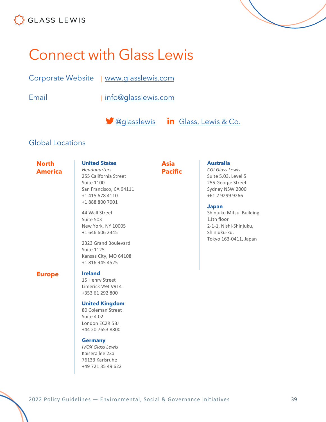

## <span id="page-38-0"></span>Connect with Glass Lewis

| <b>Corporate Website</b> | www.glasslewis.com |
|--------------------------|--------------------|
|                          |                    |

Email | [info@glasslewis.com](mailto:%20info@glasslewis.com)

**Company** [Glass, Lewis & Co.](https://www.linkedin.com/company/glass-lewis-&-co-)

#### Global Locations

**North America** **United States** *Headquarters* 255 California Street Suite 1100 San Francisco, CA 94111

+1 415 678 4110 +1 888 800 7001

44 Wall Street Suite 503

New York, NY 10005 +1 646 606 2345

2323 Grand Boulevard

Kansas City, MO 64108 +1 816 945 4525

**Pacific**

**Asia** 

#### **Australia**

*CGI Glass Lewis* Suite 5.03, Level 5 255 George Street Sydney NSW 2000 +61 2 9299 9266

#### **Japan**

Shinjuku Mitsui Building 11th floor 2-1-1, Nishi-Shinjuku, Shinjuku-ku, Tokyo 163-0411, Japan

#### **Europe Ireland**

Suite 1125

15 Henry Street Limerick V94 V9T4 +353 61 292 800

#### **United Kingdom**

80 Coleman Street Suite 4.02 London EC2R 5BJ +44 20 7653 8800

#### **Germany**

*IVOX Glass Lewis* Kaiserallee 23a 76133 Karlsruhe +49 721 35 49 622